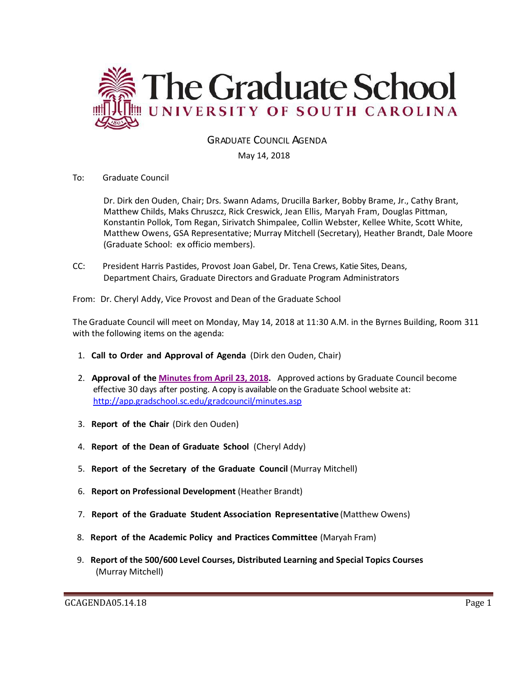

# GRADUATE COUNCIL AGENDA

### May 14, 2018

### To: Graduate Council

Dr. Dirk den Ouden, Chair; Drs. Swann Adams, Drucilla Barker, Bobby Brame, Jr., Cathy Brant, Matthew Childs, Maks Chruszcz, Rick Creswick, Jean Ellis, Maryah Fram, Douglas Pittman, Konstantin Pollok, Tom Regan, Sirivatch Shimpalee, Collin Webster, Kellee White, Scott White, Matthew Owens, GSA Representative; Murray Mitchell (Secretary), Heather Brandt, Dale Moore (Graduate School: ex officio members).

CC: President Harris Pastides, Provost Joan Gabel, Dr. Tena Crews, Katie Sites, Deans, Department Chairs, Graduate Directors and Graduate Program Administrators

From: Dr. Cheryl Addy, Vice Provost and Dean of the Graduate School

The Graduate Council will meet on Monday, May 14, 2018 at 11:30 A.M. in the Byrnes Building, Room 311 with the following items on the agenda:

- 1. **Call to Order and Approval of Agenda** (Dirk den Ouden, Chair)
- 2. **Approval of the [Minutes from April 23, 2018.](../GCMINUTESAPR232018MM.pdf)** Approved actions by Graduate Council become effective 30 days after posting. A copy is available on the Graduate School website at: <http://app.gradschool.sc.edu/gradcouncil/minutes.asp>
- 3. **Report of the Chair** (Dirk den Ouden)
- 4. **Report of the Dean of Graduate School** (Cheryl Addy)
- 5. **Report of the Secretary of the Graduate Council** (Murray Mitchell)
- 6. **Report on Professional Development** (Heather Brandt)
- 7. **Report of the Graduate Student Association Representative** (Matthew Owens)
- 8. **Report of the Academic Policy and Practices Committee** (Maryah Fram)
- 9. **Report of the 500/600 Level Courses, Distributed Learning and Special Topics Courses** (Murray Mitchell)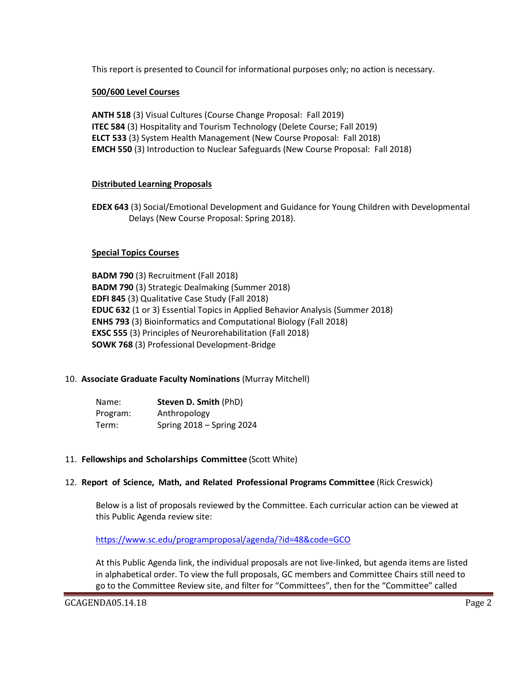This report is presented to Council for informational purposes only; no action is necessary.

### **500/600 Level Courses**

**ANTH 518** (3) Visual Cultures (Course Change Proposal: Fall 2019) **ITEC 584** (3) Hospitality and Tourism Technology (Delete Course; Fall 2019) **ELCT 533** (3) System Health Management (New Course Proposal: Fall 2018) **EMCH 550** (3) Introduction to Nuclear Safeguards (New Course Proposal: Fall 2018)

### **Distributed Learning Proposals**

**EDEX 643** (3) Social/Emotional Development and Guidance for Young Children with Developmental Delays (New Course Proposal: Spring 2018).

### **Special Topics Courses**

**BADM 790** (3) Recruitment (Fall 2018) **BADM 790** (3) Strategic Dealmaking (Summer 2018) **EDFI 845** (3) Qualitative Case Study (Fall 2018) **EDUC 632** (1 or 3) Essential Topics in Applied Behavior Analysis (Summer 2018) **ENHS 793** (3) Bioinformatics and Computational Biology (Fall 2018) **EXSC 555** (3) Principles of Neurorehabilitation (Fall 2018) **SOWK 768** (3) Professional Development-Bridge

## 10. **Associate Graduate Faculty Nominations** (Murray Mitchell)

| Name:    | Steven D. Smith (PhD)     |
|----------|---------------------------|
| Program: | Anthropology              |
| Term:    | Spring 2018 - Spring 2024 |

### 11. **Fellowships and Scholarships Committee** (Scott White)

### 12. **Report of Science, Math, and Related Professional Programs Committee** (Rick Creswick)

Below is a list of proposals reviewed by the Committee. Each curricular action can be viewed at this Public Agenda review site:

<https://www.sc.edu/programproposal/agenda/?id=48&code=GCO>

At this Public Agenda link, the individual proposals are not live-linked, but agenda items are listed in alphabetical order. To view the full proposals, GC members and Committee Chairs still need to go to the Committee Review site, and filter for "Committees", then for the "Committee" called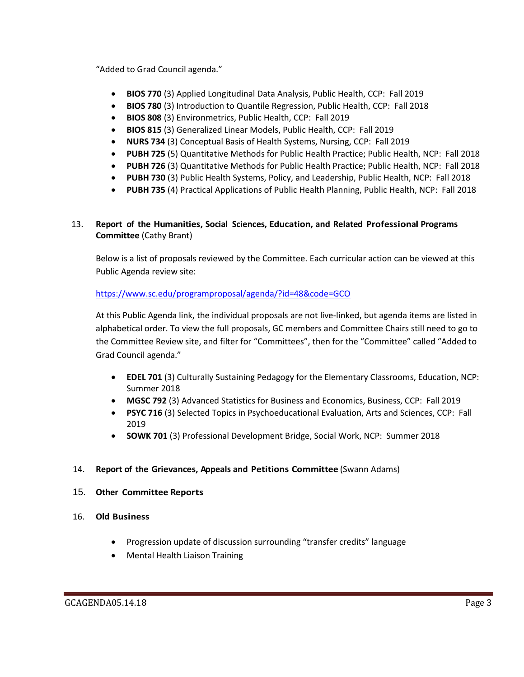"Added to Grad Council agenda."

- **BIOS 770** (3) Applied Longitudinal Data Analysis, Public Health, CCP: Fall 2019
- **BIOS 780** (3) Introduction to Quantile Regression, Public Health, CCP: Fall 2018
- **BIOS 808** (3) Environmetrics, Public Health, CCP: Fall 2019
- **BIOS 815** (3) Generalized Linear Models, Public Health, CCP: Fall 2019
- **NURS 734** (3) Conceptual Basis of Health Systems, Nursing, CCP: Fall 2019
- **PUBH 725** (5) Quantitative Methods for Public Health Practice; Public Health, NCP: Fall 2018
- **PUBH 726** (3) Quantitative Methods for Public Health Practice; Public Health, NCP: Fall 2018
- **PUBH 730** (3) Public Health Systems, Policy, and Leadership, Public Health, NCP: Fall 2018
- **PUBH 735** (4) Practical Applications of Public Health Planning, Public Health, NCP: Fall 2018

# 13. **Report of the Humanities, Social Sciences, Education, and Related Professional Programs Committee** (Cathy Brant)

Below is a list of proposals reviewed by the Committee. Each curricular action can be viewed at this Public Agenda review site:

## <https://www.sc.edu/programproposal/agenda/?id=48&code=GCO>

At this Public Agenda link, the individual proposals are not live-linked, but agenda items are listed in alphabetical order. To view the full proposals, GC members and Committee Chairs still need to go to the Committee Review site, and filter for "Committees", then for the "Committee" called "Added to Grad Council agenda."

- **EDEL 701** (3) Culturally Sustaining Pedagogy for the Elementary Classrooms, Education, NCP: Summer 2018
- **MGSC 792** (3) Advanced Statistics for Business and Economics, Business, CCP: Fall 2019
- **PSYC 716** (3) Selected Topics in Psychoeducational Evaluation, Arts and Sciences, CCP: Fall 2019
- **SOWK 701** (3) Professional Development Bridge, Social Work, NCP: Summer 2018

## 14. **Report of the Grievances, Appeals and Petitions Committee** (Swann Adams)

- 15. **Other Committee Reports**
- 16. **Old Business**
	- Progression update of discussion surrounding "transfer credits" language
	- Mental Health Liaison Training